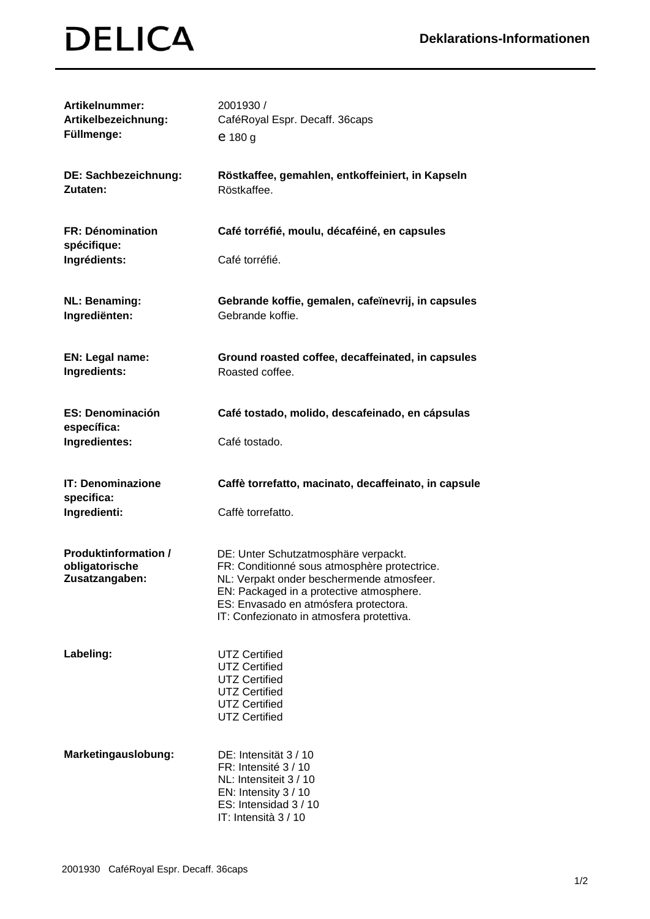## **DELICA**

| Artikelnummer:<br>Artikelbezeichnung:<br>Füllmenge:             | 2001930 /<br>CaféRoyal Espr. Decaff. 36caps<br>$e$ 180 g                                                                                                                                                                                                            |
|-----------------------------------------------------------------|---------------------------------------------------------------------------------------------------------------------------------------------------------------------------------------------------------------------------------------------------------------------|
| DE: Sachbezeichnung:<br>Zutaten:                                | Röstkaffee, gemahlen, entkoffeiniert, in Kapseln<br>Röstkaffee.                                                                                                                                                                                                     |
| <b>FR: Dénomination</b><br>spécifique:                          | Café torréfié, moulu, décaféiné, en capsules                                                                                                                                                                                                                        |
| Ingrédients:                                                    | Café torréfié.                                                                                                                                                                                                                                                      |
| <b>NL: Benaming:</b><br>Ingrediënten:                           | Gebrande koffie, gemalen, cafeïnevrij, in capsules<br>Gebrande koffie.                                                                                                                                                                                              |
| EN: Legal name:<br>Ingredients:                                 | Ground roasted coffee, decaffeinated, in capsules<br>Roasted coffee.                                                                                                                                                                                                |
| <b>ES: Denominación</b><br>específica:                          | Café tostado, molido, descafeinado, en cápsulas                                                                                                                                                                                                                     |
| Ingredientes:                                                   | Café tostado.                                                                                                                                                                                                                                                       |
|                                                                 |                                                                                                                                                                                                                                                                     |
| <b>IT: Denominazione</b><br>specifica:                          | Caffè torrefatto, macinato, decaffeinato, in capsule                                                                                                                                                                                                                |
| Ingredienti:                                                    | Caffè torrefatto.                                                                                                                                                                                                                                                   |
| <b>Produktinformation /</b><br>obligatorische<br>Zusatzangaben: | DE: Unter Schutzatmosphäre verpackt.<br>FR: Conditionné sous atmosphère protectrice.<br>NL: Verpakt onder beschermende atmosfeer.<br>EN: Packaged in a protective atmosphere.<br>ES: Envasado en atmósfera protectora.<br>IT: Confezionato in atmosfera protettiva. |
| Labeling:                                                       | <b>UTZ Certified</b><br><b>UTZ Certified</b><br><b>UTZ Certified</b><br><b>UTZ Certified</b><br><b>UTZ Certified</b><br><b>UTZ Certified</b>                                                                                                                        |